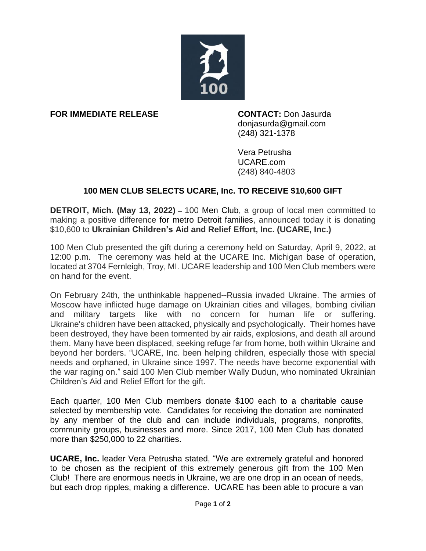

**FOR IMMEDIATE RELEASE CONTACT:** Don Jasurda

donjasurda@gmail.com (248) 321-1378

Vera Petrusha UCARE.com (248) 840-4803

## **100 MEN CLUB SELECTS UCARE, Inc. TO RECEIVE \$10,600 GIFT**

**DETROIT, Mich. (May 13, 2022) –** 100 Men Club, a group of local men committed to making a positive difference for metro Detroit families, announced today it is donating \$10,600 to **Ukrainian Children's Aid and Relief Effort, Inc. (UCARE, Inc.)**

100 Men Club presented the gift during a ceremony held on Saturday, April 9, 2022, at 12:00 p.m. The ceremony was held at the UCARE Inc. Michigan base of operation, located at 3704 Fernleigh, Troy, MI. UCARE leadership and 100 Men Club members were on hand for the event.

On February 24th, the unthinkable happened--Russia invaded Ukraine. The armies of Moscow have inflicted huge damage on Ukrainian cities and villages, bombing civilian and military targets like with no concern for human life or suffering. Ukraine's children have been attacked, physically and psychologically. Their homes have been destroyed, they have been tormented by air raids, explosions, and death all around them. Many have been displaced, seeking refuge far from home, both within Ukraine and beyond her borders. "UCARE, Inc. been helping children, especially those with special needs and orphaned, in Ukraine since 1997. The needs have become exponential with the war raging on." said 100 Men Club member Wally Dudun, who nominated Ukrainian Children's Aid and Relief Effort for the gift.

Each quarter, 100 Men Club members donate \$100 each to a charitable cause selected by membership vote. Candidates for receiving the donation are nominated by any member of the club and can include individuals, programs, nonprofits, community groups, businesses and more. Since 2017, 100 Men Club has donated more than \$250,000 to 22 charities.

**UCARE, Inc.** leader Vera Petrusha stated, "We are extremely grateful and honored to be chosen as the recipient of this extremely generous gift from the 100 Men Club! There are enormous needs in Ukraine, we are one drop in an ocean of needs, but each drop ripples, making a difference. UCARE has been able to procure a van